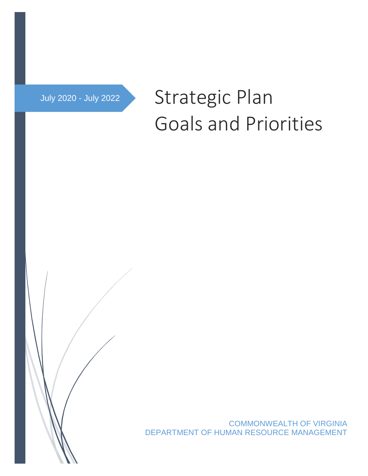# July 2020 - July 2022 Strategic Plan Goals and Priorities

COMMONWEALTH OF VIRGINIA DEPARTMENT OF HUMAN RESOURCE MANAGEMENT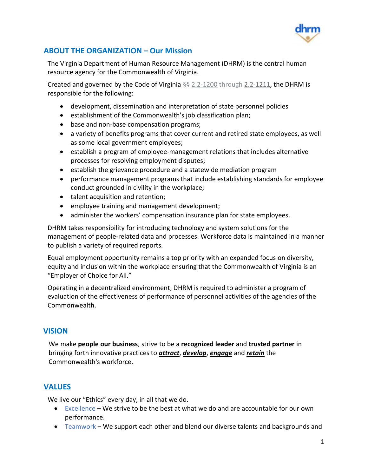

## **ABOUT THE ORGANIZATION – Our Mission**

The Virginia Department of Human Resource Management (DHRM) is the central human resource agency for the Commonwealth of Virginia.

Created and governed by the Code of Virginia §§ [2.2-1200](https://law.lis.virginia.gov/vacode/2.2-1200/) through [2.2-1211,](https://law.lis.virginia.gov/vacode/2.2-1211/) the DHRM is responsible for the following:

- development, dissemination and interpretation of state personnel policies
- establishment of the Commonwealth's job classification plan;
- base and non-base compensation programs;
- a variety of benefits programs that cover current and retired state employees, as well as some local government employees;
- establish a program of employee-management relations that includes alternative processes for resolving employment disputes;
- establish the grievance procedure and a statewide mediation program
- performance management programs that include establishing standards for employee conduct grounded in civility in the workplace;
- talent acquisition and retention;
- employee training and management development;
- administer the workers' compensation insurance plan for state employees.

DHRM takes responsibility for introducing technology and system solutions for the management of people-related data and processes. Workforce data is maintained in a manner to publish a variety of required reports.

Equal employment opportunity remains a top priority with an expanded focus on diversity, equity and inclusion within the workplace ensuring that the Commonwealth of Virginia is an "Employer of Choice for All."

Operating in a decentralized environment, DHRM is required to administer a program of evaluation of the effectiveness of performance of personnel activities of the agencies of the Commonwealth.

## **VISION**

We make **people our business**, strive to be a **recognized leader** and **trusted partner** in bringing forth innovative practices to *attract*, *develop*, *engage* and *retain* the Commonwealth's workforce.

## **VALUES**

We live our "Ethics" every day, in all that we do.

- Excellence We strive to be the best at what we do and are accountable for our own performance.
- Teamwork We support each other and blend our diverse talents and backgrounds and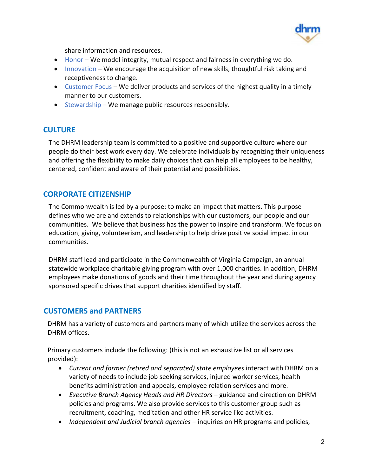

share information and resources.

- Honor We model integrity, mutual respect and fairness in everything we do.
- Innovation We encourage the acquisition of new skills, thoughtful risk taking and receptiveness to change.
- Customer Focus We deliver products and services of the highest quality in a timely manner to our customers.
- $\bullet$  Stewardship We manage public resources responsibly.

## **CULTURE**

The DHRM leadership team is committed to a positive and supportive culture where our people do their best work every day. We celebrate individuals by recognizing their uniqueness and offering the flexibility to make daily choices that can help all employees to be healthy, centered, confident and aware of their potential and possibilities.

## **CORPORATE CITIZENSHIP**

The Commonwealth is led by a purpose: to make an impact that matters. This purpose defines who we are and extends to relationships with our customers, our people and our communities. We believe that business has the power to inspire and transform. We focus on education, giving, volunteerism, and leadership to help drive positive social impact in our communities.

DHRM staff lead and participate in the Commonwealth of Virginia Campaign, an annual statewide workplace charitable giving program with over 1,000 charities. In addition, DHRM employees make donations of goods and their time throughout the year and during agency sponsored specific drives that support charities identified by staff.

## **CUSTOMERS and PARTNERS**

DHRM has a variety of customers and partners many of which utilize the services across the DHRM offices.

Primary customers include the following: (this is not an exhaustive list or all services provided):

- *Current and former (retired and separated) state employees* interact with DHRM on a variety of needs to include job seeking services, injured worker services, health benefits administration and appeals, employee relation services and more.
- *Executive Branch Agency Heads and HR Directors* guidance and direction on DHRM policies and programs. We also provide services to this customer group such as recruitment, coaching, meditation and other HR service like activities.
- *Independent and Judicial branch agencies* inquiries on HR programs and policies,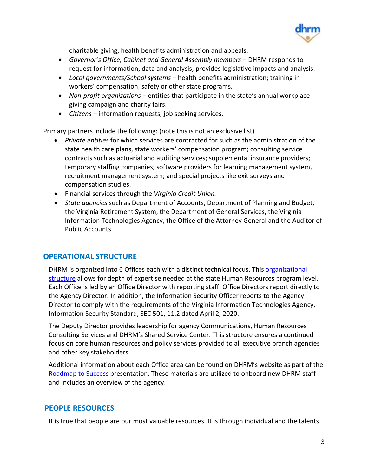

charitable giving, health benefits administration and appeals.

- *Governor's Office, Cabinet and General Assembly members* DHRM responds to request for information, data and analysis; provides legislative impacts and analysis.
- *Local governments/School systems* health benefits administration; training in workers' compensation, safety or other state programs.
- *Non-profit organizations* entities that participate in the state's annual workplace giving campaign and charity fairs.
- *Citizens* information requests, job seeking services.

Primary partners include the following: (note this is not an exclusive list)

- *Private entities* for which services are contracted for such as the administration of the state health care plans, state workers' compensation program; consulting service contracts such as actuarial and auditing services; supplemental insurance providers; temporary staffing companies; software providers for learning management system, recruitment management system; and special projects like exit surveys and compensation studies.
- Financial services through the *Virginia Credit Union.*
- *State agencies* such as Department of Accounts, Department of Planning and Budget, the Virginia Retirement System, the Department of General Services, the Virginia Information Technologies Agency, the Office of the Attorney General and the Auditor of Public Accounts.

## **OPERATIONAL STRUCTURE**

DHRM is organized into 6 Offices each with a distinct technical focus. This organizational [structure](https://www.dhrm.virginia.gov/docs/default-source/default-document-library/dhrmorganizationchart.pdf?sfvrsn=a4886a9e_8) allows for depth of expertise needed at the state Human Resources program level. Each Office is led by an Office Director with reporting staff. Office Directors report directly to the Agency Director. In addition, the Information Security Officer reports to the Agency Director to comply with the requirements of the Virginia Information Technologies Agency, Information Security Standard, SEC 501, 11.2 dated April 2, 2020.

The Deputy Director provides leadership for agency Communications, Human Resources Consulting Services and DHRM's Shared Service Center. This structure ensures a continued focus on core human resources and policy services provided to all executive branch agencies and other key stakeholders.

Additional information about each Office area can be found on DHRM's website as part of the [Roadmap to Success](https://www.dhrm.virginia.gov/docs/default-source/default-document-library/dhrmroadmaptosuccess2020-september.pdf) presentation. These materials are utilized to onboard new DHRM staff and includes an overview of the agency.

## **PEOPLE RESOURCES**

It is true that people are our most valuable resources. It is through individual and the talents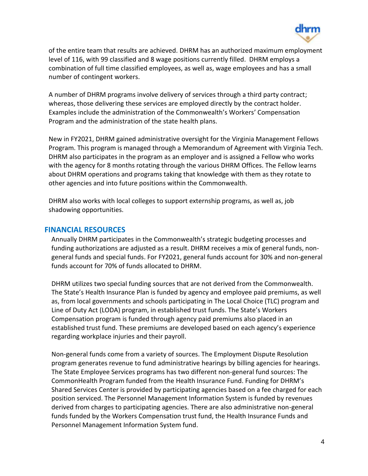

of the entire team that results are achieved. DHRM has an authorized maximum employment level of 116, with 99 classified and 8 wage positions currently filled. DHRM employs a combination of full time classified employees, as well as, wage employees and has a small number of contingent workers.

A number of DHRM programs involve delivery of services through a third party contract; whereas, those delivering these services are employed directly by the contract holder. Examples include the administration of the Commonwealth's Workers' Compensation Program and the administration of the state health plans.

New in FY2021, DHRM gained administrative oversight for the Virginia Management Fellows Program. This program is managed through a Memorandum of Agreement with Virginia Tech. DHRM also participates in the program as an employer and is assigned a Fellow who works with the agency for 8 months rotating through the various DHRM Offices. The Fellow learns about DHRM operations and programs taking that knowledge with them as they rotate to other agencies and into future positions within the Commonwealth.

DHRM also works with local colleges to support externship programs, as well as, job shadowing opportunities.

#### **FINANCIAL RESOURCES**

Annually DHRM participates in the Commonwealth's strategic budgeting processes and funding authorizations are adjusted as a result. DHRM receives a mix of general funds, nongeneral funds and special funds. For FY2021, general funds account for 30% and non-general funds account for 70% of funds allocated to DHRM.

DHRM utilizes two special funding sources that are not derived from the Commonwealth. The State's Health Insurance Plan is funded by agency and employee paid premiums, as well as, from local governments and schools participating in The Local Choice (TLC) program and Line of Duty Act (LODA) program, in established trust funds. The State's Workers Compensation program is funded through agency paid premiums also placed in an established trust fund. These premiums are developed based on each agency's experience regarding workplace injuries and their payroll.

Non-general funds come from a variety of sources. The Employment Dispute Resolution program generates revenue to fund administrative hearings by billing agencies for hearings. The State Employee Services programs has two different non-general fund sources: The CommonHealth Program funded from the Health Insurance Fund. Funding for DHRM's Shared Services Center is provided by participating agencies based on a fee charged for each position serviced. The Personnel Management Information System is funded by revenues derived from charges to participating agencies. There are also administrative non-general funds funded by the Workers Compensation trust fund, the Health Insurance Funds and Personnel Management Information System fund.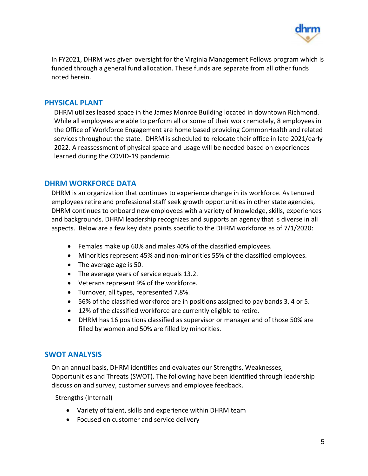

In FY2021, DHRM was given oversight for the Virginia Management Fellows program which is funded through a general fund allocation. These funds are separate from all other funds noted herein.

#### **PHYSICAL PLANT**

DHRM utilizes leased space in the James Monroe Building located in downtown Richmond. While all employees are able to perform all or some of their work remotely, 8 employees in the Office of Workforce Engagement are home based providing CommonHealth and related services throughout the state. DHRM is scheduled to relocate their office in late 2021/early 2022. A reassessment of physical space and usage will be needed based on experiences learned during the COVID-19 pandemic.

#### **DHRM WORKFORCE DATA**

DHRM is an organization that continues to experience change in its workforce. As tenured employees retire and professional staff seek growth opportunities in other state agencies, DHRM continues to onboard new employees with a variety of knowledge, skills, experiences and backgrounds. DHRM leadership recognizes and supports an agency that is diverse in all aspects. Below are a few key data points specific to the DHRM workforce as of 7/1/2020:

- Females make up 60% and males 40% of the classified employees.
- Minorities represent 45% and non-minorities 55% of the classified employees.
- The average age is 50.
- The average years of service equals 13.2.
- Veterans represent 9% of the workforce.
- Turnover, all types, represented 7.8%.
- 56% of the classified workforce are in positions assigned to pay bands 3, 4 or 5.
- 12% of the classified workforce are currently eligible to retire.
- DHRM has 16 positions classified as supervisor or manager and of those 50% are filled by women and 50% are filled by minorities.

## **SWOT ANALYSIS**

On an annual basis, DHRM identifies and evaluates our Strengths, Weaknesses, Opportunities and Threats (SWOT). The following have been identified through leadership discussion and survey, customer surveys and employee feedback.

Strengths (Internal)

- Variety of talent, skills and experience within DHRM team
- Focused on customer and service delivery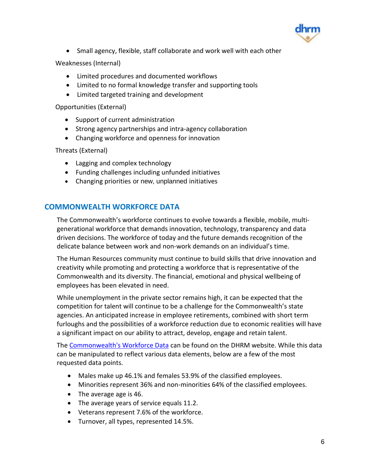

• Small agency, flexible, staff collaborate and work well with each other

Weaknesses (Internal)

- Limited procedures and documented workflows
- Limited to no formal knowledge transfer and supporting tools
- Limited targeted training and development

Opportunities (External)

- Support of current administration
- Strong agency partnerships and intra-agency collaboration
- Changing workforce and openness for innovation

Threats (External)

- Lagging and complex technology
- Funding challenges including unfunded initiatives
- Changing priorities or new, unplanned initiatives

#### **COMMONWEALTH WORKFORCE DATA**

The Commonwealth's workforce continues to evolve towards a flexible, mobile, multigenerational workforce that demands innovation, technology, transparency and data driven decisions. The workforce of today and the future demands recognition of the delicate balance between work and non-work demands on an individual's time.

The Human Resources community must continue to build skills that drive innovation and creativity while promoting and protecting a workforce that is representative of the Commonwealth and its diversity. The financial, emotional and physical wellbeing of employees has been elevated in need.

While unemployment in the private sector remains high, it can be expected that the competition for talent will continue to be a challenge for the Commonwealth's state agencies. An anticipated increase in employee retirements, combined with short term furloughs and the possibilities of a workforce reduction due to economic realities will have a significant impact on our ability to attract, develop, engage and retain talent.

The [Commonwealth's Workforce Data](http://www1.dhrm.virginia.gov/redir/getinfo.aspx?id=1044) can be found on the DHRM website. While this data can be manipulated to reflect various data elements, below are a few of the most requested data points.

- Males make up 46.1% and females 53.9% of the classified employees.
- Minorities represent 36% and non-minorities 64% of the classified employees.
- The average age is 46.
- The average years of service equals 11.2.
- Veterans represent 7.6% of the workforce.
- Turnover, all types, represented 14.5%.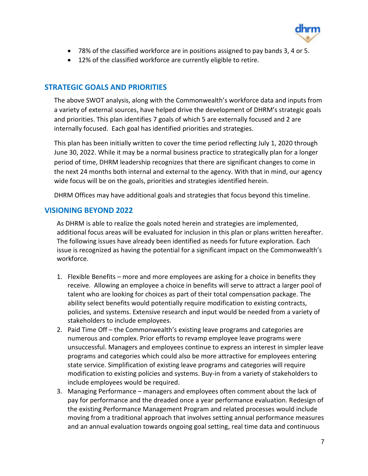

- 78% of the classified workforce are in positions assigned to pay bands 3, 4 or 5.
- 12% of the classified workforce are currently eligible to retire.

#### **STRATEGIC GOALS AND PRIORITIES**

The above SWOT analysis, along with the Commonwealth's workforce data and inputs from a variety of external sources, have helped drive the development of DHRM's strategic goals and priorities. This plan identifies 7 goals of which 5 are externally focused and 2 are internally focused. Each goal has identified priorities and strategies.

This plan has been initially written to cover the time period reflecting July 1, 2020 through June 30, 2022. While it may be a normal business practice to strategically plan for a longer period of time, DHRM leadership recognizes that there are significant changes to come in the next 24 months both internal and external to the agency. With that in mind, our agency wide focus will be on the goals, priorities and strategies identified herein.

DHRM Offices may have additional goals and strategies that focus beyond this timeline.

#### **VISIONING BEYOND 2022**

As DHRM is able to realize the goals noted herein and strategies are implemented, additional focus areas will be evaluated for inclusion in this plan or plans written hereafter. The following issues have already been identified as needs for future exploration. Each issue is recognized as having the potential for a significant impact on the Commonwealth's workforce.

- 1. Flexible Benefits more and more employees are asking for a choice in benefits they receive. Allowing an employee a choice in benefits will serve to attract a larger pool of talent who are looking for choices as part of their total compensation package. The ability select benefits would potentially require modification to existing contracts, policies, and systems. Extensive research and input would be needed from a variety of stakeholders to include employees.
- 2. Paid Time Off the Commonwealth's existing leave programs and categories are numerous and complex. Prior efforts to revamp employee leave programs were unsuccessful. Managers and employees continue to express an interest in simpler leave programs and categories which could also be more attractive for employees entering state service. Simplification of existing leave programs and categories will require modification to existing policies and systems. Buy-in from a variety of stakeholders to include employees would be required.
- 3. Managing Performance managers and employees often comment about the lack of pay for performance and the dreaded once a year performance evaluation. Redesign of the existing Performance Management Program and related processes would include moving from a traditional approach that involves setting annual performance measures and an annual evaluation towards ongoing goal setting, real time data and continuous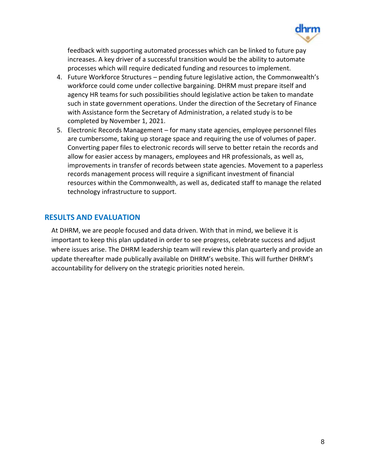

feedback with supporting automated processes which can be linked to future pay increases. A key driver of a successful transition would be the ability to automate processes which will require dedicated funding and resources to implement.

- 4. Future Workforce Structures pending future legislative action, the Commonwealth's workforce could come under collective bargaining. DHRM must prepare itself and agency HR teams for such possibilities should legislative action be taken to mandate such in state government operations. Under the direction of the Secretary of Finance with Assistance form the Secretary of Administration, a related study is to be completed by November 1, 2021.
- 5. Electronic Records Management for many state agencies, employee personnel files are cumbersome, taking up storage space and requiring the use of volumes of paper. Converting paper files to electronic records will serve to better retain the records and allow for easier access by managers, employees and HR professionals, as well as, improvements in transfer of records between state agencies. Movement to a paperless records management process will require a significant investment of financial resources within the Commonwealth, as well as, dedicated staff to manage the related technology infrastructure to support.

#### **RESULTS AND EVALUATION**

At DHRM, we are people focused and data driven. With that in mind, we believe it is important to keep this plan updated in order to see progress, celebrate success and adjust where issues arise. The DHRM leadership team will review this plan quarterly and provide an update thereafter made publically available on DHRM's website. This will further DHRM's accountability for delivery on the strategic priorities noted herein.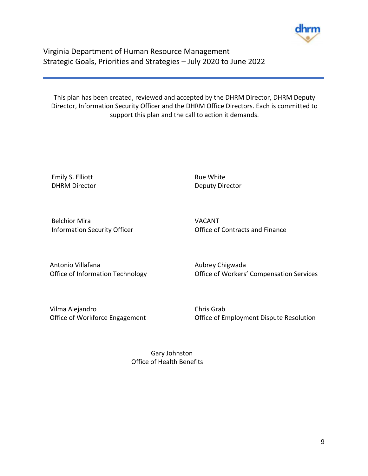

Virginia Department of Human Resource Management Strategic Goals, Priorities and Strategies – July 2020 to June 2022

This plan has been created, reviewed and accepted by the DHRM Director, DHRM Deputy Director, Information Security Officer and the DHRM Office Directors. Each is committed to support this plan and the call to action it demands.

Emily S. Elliott **Rue White** Rue White

DHRM Director Deputy Director

Belchior Mira VACANT

Information Security Officer **Contracts** and Finance

Antonio Villafana **Aubrey Chigwada** Aubrey Chigwada

Office of Information Technology Office of Workers' Compensation Services

Vilma Alejandro Chris Grab

Office of Workforce Engagement **Office of Employment Dispute Resolution** 

 Gary Johnston Office of Health Benefits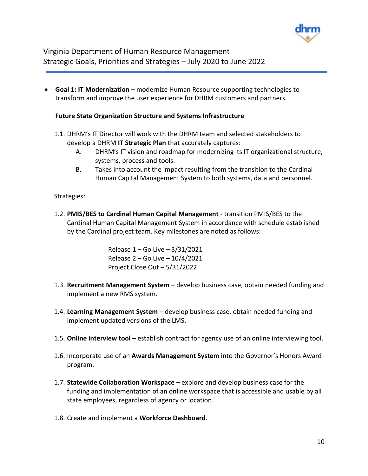

Virginia Department of Human Resource Management Strategic Goals, Priorities and Strategies – July 2020 to June 2022

 **Goal 1: IT Modernization** – modernize Human Resource supporting technologies to transform and improve the user experience for DHRM customers and partners.

#### **Future State Organization Structure and Systems Infrastructure**

- 1.1. DHRM's IT Director will work with the DHRM team and selected stakeholders to develop a DHRM **IT Strategic Plan** that accurately captures:
	- A. DHRM's IT vision and roadmap for modernizing its IT organizational structure, systems, process and tools.
	- B. Takes into account the impact resulting from the transition to the Cardinal Human Capital Management System to both systems, data and personnel.

#### Strategies:

1.2. **PMIS/BES to Cardinal Human Capital Management** - transition PMIS/BES to the Cardinal Human Capital Management System in accordance with schedule established by the Cardinal project team. Key milestones are noted as follows:

> Release 1 – Go Live – 3/31/2021 Release 2 – Go Live – 10/4/2021 Project Close Out – 5/31/2022

- 1.3. **Recruitment Management System** develop business case, obtain needed funding and implement a new RMS system.
- 1.4. **Learning Management System** develop business case, obtain needed funding and implement updated versions of the LMS.
- 1.5. **Online interview tool** establish contract for agency use of an online interviewing tool.
- 1.6. Incorporate use of an **Awards Management System** into the Governor's Honors Award program.
- 1.7. **Statewide Collaboration Workspace** explore and develop business case for the funding and implementation of an online workspace that is accessible and usable by all state employees, regardless of agency or location.
- 1.8. Create and implement a **Workforce Dashboard**.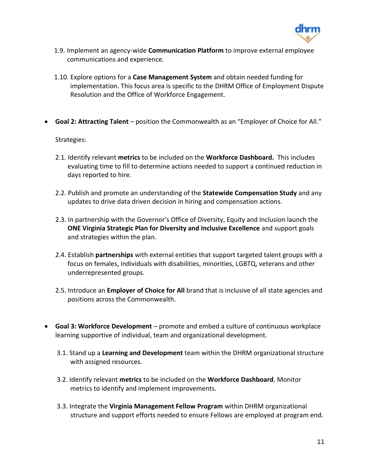

- 1.9. Implement an agency-wide **Communication Platform** to improve external employee communications and experience.
- 1.10. Explore options for a **Case Management System** and obtain needed funding for implementation. This focus area is specific to the DHRM Office of Employment Dispute Resolution and the Office of Workforce Engagement.
- **Goal 2: Attracting Talent** position the Commonwealth as an "Employer of Choice for All."

#### Strategies:

- 2.1. Identify relevant **metrics** to be included on the **Workforce Dashboard.** This includes evaluating time to fill to determine actions needed to support a continued reduction in days reported to hire.
- 2.2. Publish and promote an understanding of the **Statewide Compensation Study** and any updates to drive data driven decision in hiring and compensation actions.
- 2.3. In partnership with the Governor's Office of Diversity, Equity and Inclusion launch the **ONE Virginia Strategic Plan for Diversity and Inclusive Excellence** and support goals and strategies within the plan.
- 2.4. Establish **partnerships** with external entities that support targeted talent groups with a focus on females, individuals with disabilities, minorities, LGBTQ, veterans and other underrepresented groups.
- 2.5. Introduce an **Employer of Choice for All** brand that is inclusive of all state agencies and positions across the Commonwealth.
- **Goal 3: Workforce Development** promote and embed a culture of continuous workplace learning supportive of individual, team and organizational development.
	- 3.1. Stand up a **Learning and Development** team within the DHRM organizational structure with assigned resources.
	- 3.2. Identify relevant **metrics** to be included on the **Workforce Dashboard**. Monitor metrics to identify and implement improvements.
	- 3.3. Integrate the **Virginia Management Fellow Program** within DHRM organizational structure and support efforts needed to ensure Fellows are employed at program end.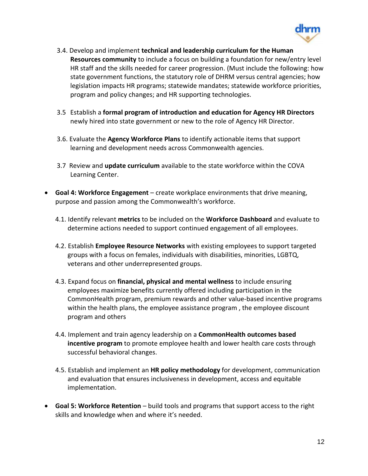

- 3.4. Develop and implement **technical and leadership curriculum for the Human Resources community** to include a focus on building a foundation for new/entry level HR staff and the skills needed for career progression. (Must include the following: how state government functions, the statutory role of DHRM versus central agencies; how legislation impacts HR programs; statewide mandates; statewide workforce priorities, program and policy changes; and HR supporting technologies.
- 3.5 Establish a **formal program of introduction and education for Agency HR Directors** newly hired into state government or new to the role of Agency HR Director.
- 3.6. Evaluate the **Agency Workforce Plans** to identify actionable items that support learning and development needs across Commonwealth agencies.
- 3.7 Review and **update curriculum** available to the state workforce within the COVA Learning Center.
- **Goal 4: Workforce Engagement** create workplace environments that drive meaning, purpose and passion among the Commonwealth's workforce.
	- 4.1. Identify relevant **metrics** to be included on the **Workforce Dashboard** and evaluate to determine actions needed to support continued engagement of all employees.
	- 4.2. Establish **Employee Resource Networks** with existing employees to support targeted groups with a focus on females, individuals with disabilities, minorities, LGBTQ, veterans and other underrepresented groups.
	- 4.3. Expand focus on **financial, physical and mental wellness** to include ensuring employees maximize benefits currently offered including participation in the CommonHealth program, premium rewards and other value-based incentive programs within the health plans, the employee assistance program , the employee discount program and others
	- 4.4. Implement and train agency leadership on a **CommonHealth outcomes based incentive program** to promote employee health and lower health care costs through successful behavioral changes.
	- 4.5. Establish and implement an **HR policy methodology** for development, communication and evaluation that ensures inclusiveness in development, access and equitable implementation.
- **Goal 5: Workforce Retention** build tools and programs that support access to the right skills and knowledge when and where it's needed.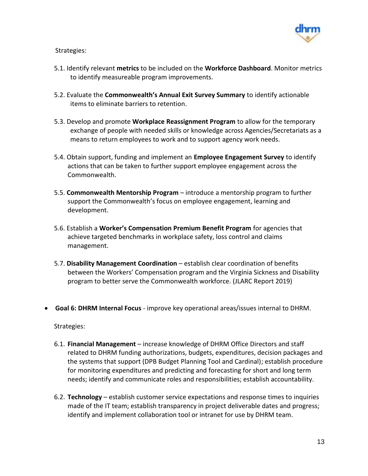

Strategies:

- 5.1. Identify relevant **metrics** to be included on the **Workforce Dashboard**. Monitor metrics to identify measureable program improvements.
- 5.2. Evaluate the **Commonwealth's Annual Exit Survey Summary** to identify actionable items to eliminate barriers to retention.
- 5.3. Develop and promote **Workplace Reassignment Program** to allow for the temporary exchange of people with needed skills or knowledge across Agencies/Secretariats as a means to return employees to work and to support agency work needs.
- 5.4. Obtain support, funding and implement an **Employee Engagement Survey** to identify actions that can be taken to further support employee engagement across the Commonwealth.
- 5.5. **Commonwealth Mentorship Program** introduce a mentorship program to further support the Commonwealth's focus on employee engagement, learning and development.
- 5.6. Establish a **Worker's Compensation Premium Benefit Program** for agencies that achieve targeted benchmarks in workplace safety, loss control and claims management.
- 5.7. **Disability Management Coordination** establish clear coordination of benefits between the Workers' Compensation program and the Virginia Sickness and Disability program to better serve the Commonwealth workforce. (JLARC Report 2019)
- **Goal 6: DHRM Internal Focus** improve key operational areas/issues internal to DHRM.

Strategies:

- 6.1. **Financial Management** increase knowledge of DHRM Office Directors and staff related to DHRM funding authorizations, budgets, expenditures, decision packages and the systems that support (DPB Budget Planning Tool and Cardinal); establish procedure for monitoring expenditures and predicting and forecasting for short and long term needs; identify and communicate roles and responsibilities; establish accountability.
- 6.2. **Technology** establish customer service expectations and response times to inquiries made of the IT team; establish transparency in project deliverable dates and progress; identify and implement collaboration tool or intranet for use by DHRM team.